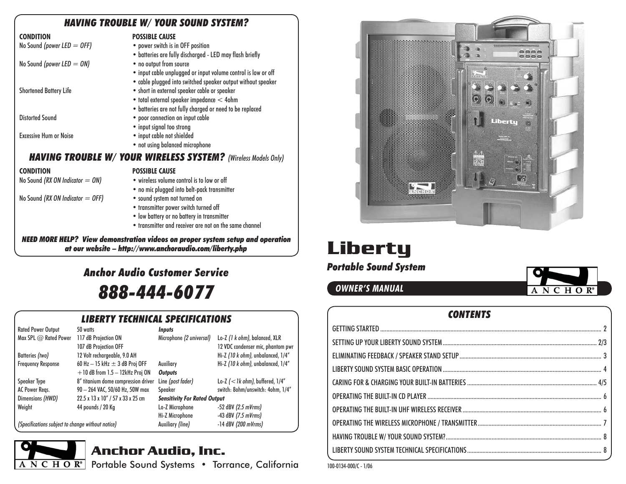## *HAVING TROUBLE W/ YOUR SOUND SYSTEM?*

| <b>CONDITION</b>                                                      | <b>POSSIBLE CAUSE</b>                                         |  |  |  |  |
|-----------------------------------------------------------------------|---------------------------------------------------------------|--|--|--|--|
| No Sound (power LED $=$ OFF)                                          | • power switch is in OFF position                             |  |  |  |  |
|                                                                       | · batteries are fully discharged - LED may flash briefly      |  |  |  |  |
| No Sound (power LED $=$ ON)                                           | • no output from source                                       |  |  |  |  |
|                                                                       | • input cable unplugged or input volume control is low or off |  |  |  |  |
|                                                                       | • cable plugged into switched speaker output without speaker  |  |  |  |  |
| <b>Shortened Battery Life</b>                                         | • short in external speaker cable or speaker                  |  |  |  |  |
|                                                                       | • total external speaker impedance < 4ohm                     |  |  |  |  |
|                                                                       | • batteries are not fully charged or need to be replaced      |  |  |  |  |
| Distorted Sound                                                       | • poor connection on input cable                              |  |  |  |  |
|                                                                       | • input signal too strong                                     |  |  |  |  |
| <b>Excessive Hum or Noise</b>                                         | • input cable not shielded                                    |  |  |  |  |
|                                                                       | • not using balanced microphone                               |  |  |  |  |
| <b>HAVING TROUBLE W/ YOUR WIRELESS SYSTEM?</b> (Wireless Models Only) |                                                               |  |  |  |  |
| <b>CONDITION</b>                                                      | <b>POSSIBLE CAUSE</b>                                         |  |  |  |  |
| No Sound (RX ON Indicator $=$ ON)                                     | • wireless volume control is to low or off                    |  |  |  |  |
|                                                                       | • no mic plugged into belt-pack transmitter                   |  |  |  |  |
| No Sound (RX ON Indicator $=$ OFF)                                    | • sound system not turned on                                  |  |  |  |  |
|                                                                       | • transmitter power switch turned off                         |  |  |  |  |
|                                                                       | • low battery or no battery in transmitter                    |  |  |  |  |

• transmitter and receiver are not on the same channel

*NEED MORE HELP? View demonstration videos on proper system setup and operation at our website – http://www.anchoraudio.com/liberty.php*

# *Portable Sound System Anchor Audio Customer Service888-444-6077*

# *LIBERTY TECHNICAL SPECIFICATIONS*

| <b>Rated Power Output</b>                         | 50 watts                             | <b>Inputs</b>                       |                                      |
|---------------------------------------------------|--------------------------------------|-------------------------------------|--------------------------------------|
| Max SPL $@$ Rated Power                           | 117 dB Projection ON                 | Microphone (2 universal)            | Lo-Z (1 k ohm), balanced, XLR        |
|                                                   | 107 dB Projection OFF                |                                     | 12 VDC condenser mic, phantom pwr    |
| Batteries (two)                                   | 12 Volt rechargeable, 9.0 AH         |                                     | Hi-Z (10 k ohm), unbalanced, 1/4"    |
| <b>Frequency Response</b>                         | 60 Hz $-$ 15 kHz $\pm$ 3 dB Proj OFF | Auxiliary                           | Hi-Z (10 k ohm), unbalanced, 1/4"    |
|                                                   | $+10$ dB from $1.5 - 12$ kHz Proj ON | <b>Outputs</b>                      |                                      |
| Speaker Type                                      | 8" titanium dome compression driver  | Line (post fader)                   | Lo-Z $(<$ 1k ohm), buffered, $1/4''$ |
| AC Power Regs.                                    | 90 - 264 VAC, 50/60 Hz, 50W max      | Speaker                             | switch: 8ohm/unswitch: 4ohm, 1/4"    |
| Dimensions (HWD)                                  | 22.5 x 13 x 10" / 57 x 33 x 25 cm    | <b>Sensitivity For Rated Output</b> |                                      |
| Weight                                            | 44 pounds / 20 Kg                    | Lo-Z Microphone                     | $-52$ dBV (2.5 mVrms)                |
|                                                   |                                      | Hi-Z Microphone                     | $-43$ dBV (7.5 mVrms)                |
| (Specifications subject to change without notice) |                                      | Auxiliary (line)                    | $-14$ dBV (200 mVrms)                |

ANCHOR<sup>®</sup>

# **Anchor Audio, Inc.**

Portable Sound Systems • Torrance, California 100-0134-000/C-1/06



# **Liberty**

**OWNER'S MANUAL**



### *CONTENTS*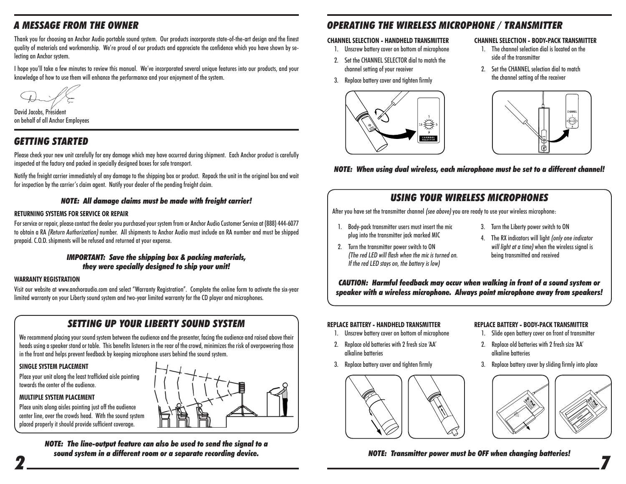# *A MESSAGE FROM THE OWNER*

Thank you for choosing an Anchor Audio portable sound system. Our products incorporate state-of-the-art design and the finest quality of materials and workmanship. We're proud of our products and appreciate the confidence which you have shown by selecting an Anchor system.

I hope you'll take a few minutes to review this manual. We've incorporated several unique features into our products, and your knowledge of how to use them will enhance the performance and your enjoyment of the system.

David Jacobs, President on behalf of all Anchor Employees

# *GETTING STARTED*

Please check your new unit carefully for any damage which may have occurred during shipment. Each Anchor product is carefully inspected at the factory and packed in specially designed boxes for safe transport.

Notify the freight carrier immediately of any damage to the shipping box or product. Repack the unit in the original box and wait for inspection by the carrier's claim agent. Notify your dealer of the pending freight claim.

#### *NOTE: All damage claims must be made with freight carrier!*

#### **RETURNING SYSTEMS FOR SERVICE OR REPAIR**

For service or repair, please contact the dealer you purchased your system from or Anchor Audio Customer Service at (888) 444-6077 to obtain a RA (Return Authorization) number. All shipments to Anchor Audio must include an RA number and must be shipped prepaid. C.O.D. shipments will be refused and returned at your expense.

#### *IMPORTANT: Save the shipping box & packing materials, they were specially designed to ship your unit!*

#### **WARRANTY REGISTRATION**

Visit our website at www.anchoraudio.com and select "Warranty Registration". Complete the online form to activate the six-year limited warranty on your Liberty sound system and two-year limited warranty for the CD player and microphones.

## *SETTING UP YOUR LIBERTY SOUND SYSTEM*

We recommend placing your sound system between the audience and the presenter, facing the audience and raised above their heads using a speaker stand or table. This benefits listeners in the rear of the crowd, minimizes the risk of overpowering those in the front and helps prevent feedback by keeping microphone users behind the sound system.

#### **SINGLE SYSTEM PLACEMENT**

Place your unit along the least trafficked aisle pointing towards the center of the audience.

#### **MULTIPLE SYSTEM PLACEMENT**

Place units along aisles pointing just off the audience center line, over the crowds head. With the sound system placed properly it should provide sufficient coverage.

 *7 NOTE: The line-output feature can also be used to send the signal to a sound system in a different room or a separate recording device.*

# *OPERATING THE WIRELESS MICROPHONE / TRANSMITTER*

#### **CHANNEL SELECTION - HANDHELD TRANSMITTER**

- 1. Unscrew battery cover on bottom of microphone
- 2. Set the CHANNEL SELECTOR dial to match the channel setting of your receiver
- 3. Replace battery cover and tighten firmly



#### **CHANNEL SELECTION - BODY-PACK TRANSMITTER**

- 1. The channel selection dial is located on the side of the transmitter
- 2. Set the CHANNEL selection dial to match the channel setting of the receiver



*NOTE: When using dual wireless, each microphone must be set to a different channel!*

# *USING YOUR WIRELESS MICROPHONES*

After you have set the transmitter channel *(see above)* you are ready to use your wireless microphone:

- 1. Body-pack transmitter users must insert the mic plug into the transmitter jack marked MIC
- 2. Turn the transmitter power switch to ON (The red LED will flash when the mic is turned on. If the red LED stays on, the battery is low)
- 3. Turn the Liberty power switch to ON
- 4. The RX indicators will light (only one indicator will light at a time) when the wireless signal is being transmitted and received

*CAUTION: Harmful feedback may occur when walking in front of a sound system or speaker with a wireless microphone. Always point microphone away from speakers!*

#### **REPLACE BATTERY - HANDHELD TRANSMITTER**

- 1. Unscrew battery cover on bottom of microphone
- 2. Replace old batteries with 2 fresh size 'AA' alkaline batteries
- 3. Replace battery cover and tighten firmly



#### **REPLACE BATTERY - BODY-PACK TRANSMITTER**

- 1. Slide open battery cover on front of transmitter
- 2. Replace old batteries with 2 fresh size 'AA' alkaline batteries
- 3. Replace battery cover by sliding firmly into place





*NOTE: Transmitter power must be OFF when changing batteries!*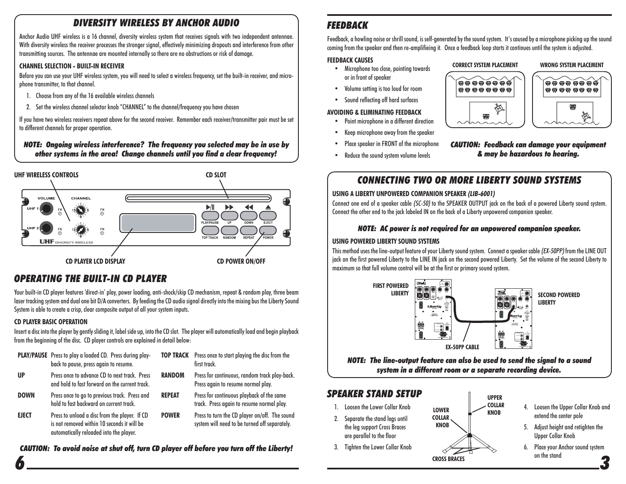# *DIVERSITY WIRELESS BY ANCHOR AUDIO*

Anchor Audio UHF wireless is a 16 channel, diversity wireless system that receives signals with two independent antennae. With diversity wireless the receiver processes the stronger signal, effectively minimizing dropouts and interference from other transmitting sources. The antennae are mounted internally so there are no obstructions or risk of damage.

#### **CHANNEL SELECTION - BUILT-IN RECEIVER**

Before you can use your UHF wireless system, you will need to select a wireless frequency, set the built-in receiver, and microphone transmitter, to that channel.

- 1. Choose from any of the 16 available wireless channels
- 2. Set the wireless channel selector knob "CHANNEL" to the channel/frequency you have chosen

If you have two wireless receivers repeat above for the second receiver. Remember each receiver/transmitter pair must be set to different channels for proper operation.

#### *NOTE: Ongoing wireless interference? The frequency you selected may be in use by other systems in the area! Change channels until you find a clear frequency!*



# *OPERATING THE BUILT-IN CD PLAYER*

Your built-in CD player features 'direct-in' play, power loading, anti-shock/skip CD mechanism, repeat & random play, three beam laser tracking system and dual one bit D/A converters. By feeding the CD audio signal directly into the mixing bus the Liberty Sound System is able to create a crisp, clear composite output of all your system inputs.

#### **CD PLAYER BASIC OPERATION**

*6*

Insert a disc into the player by gently sliding it, label side up, into the CD slot. The player will automatically load and begin playback from the beginning of the disc. CD player controls are explained in detail below:

|              | <b>PLAY/PAUSE</b> Press to play a loaded CD. Press during play-<br>back to pause, press again to resume.                                |               | <b>TOP TRACK</b> Press once to start playing the disc from the<br>first track.                 |
|--------------|-----------------------------------------------------------------------------------------------------------------------------------------|---------------|------------------------------------------------------------------------------------------------|
| <b>UP</b>    | Press once to advance CD to next track. Press<br>and hold to fast forward on the current track.                                         | <b>RANDOM</b> | Press for continuous, random track play-back.<br>Press again to resume normal play.            |
| <b>DOWN</b>  | Press once to go to previous track. Press and<br>hold to fast backward on current track.                                                | <b>REPEAT</b> | Press for continuous playback of the same<br>track. Press again to resume normal play.         |
| <b>EJECT</b> | Press to unload a disc from the player. If CD<br>is not removed within 10 seconds it will be<br>automatically reloaded into the player. | <b>POWER</b>  | Press to turn the CD player on/off. The sound<br>system will need to be turned off separately. |

# *CAUTION: To avoid noise at shut off, turn CD player off before you turn off the Liberty!*

# *FEEDBACK*

Feedback, a howling noise or shrill sound, is self-generated by the sound system. It's caused by a microphone picking up the sound coming from the speaker and then re-amplifieing it. Once a feedback loop starts it continues until the system is adjusted.

#### **FEEDBACK CAUSES**

- Microphone too close, pointing towards or in front of speaker
- Volume setting is too loud for room
- Sound reflecting off hard surfaces

#### **AVOIDING & ELIMINATING FEEDBACK**

- Point microphone in a different direction
- Keep microphone away from the speaker
- Place speaker in FRONT of the microphone
- Reduce the sound system volume levels





*CAUTION: Feedback can damage your equipment & may be hazardous to hearing.*

# *CONNECTING TWO OR MORE LIBERTY SOUND SYSTEMS*

#### **USING A LIBERTY UNPOWERED COMPANION SPEAKER (LIB-6001)**

Connect one end of a speaker cable (SC-50) to the SPEAKER OUTPUT jack on the back of a powered Liberty sound system. Connect the other end to the jack labeled IN on the back of a Liberty unpowered companion speaker.

#### *NOTE: AC power is not required for an unpowered companion speaker.*

#### **USING POWERED LIBERTY SOUND SYSTEMS**

This method uses the line-output feature of your Liberty sound system. Connect a speaker cable (EX-50PP) from the LINE OUT jack on the first powered Liberty to the LINE IN jack on the second powered Liberty. Set the volume of the second Liberty to maximum so that full volume control will be at the first or primary sound system.



*NOTE: The line-output feature can also be used to send the signal to a sound system in a different room or a separate recording device.*

# *SPEAKER STAND SETUP*

- 1. Loosen the Lower Collar Knob
- 2. Separate the stand legs until the leg support Cross Braces are parallel to the floor
- 3. Tighten the Lower Collar Knob
- **LOWER COLLAR KNOBUPPER COLLAR KNOBCROSS BRACES**
- 4. Loosen the Upper Collar Knob and extend the center pole
- 5. Adjust height and retighten the Upper Collar Knob
- *3*6. Place your Anchor sound system on the stand